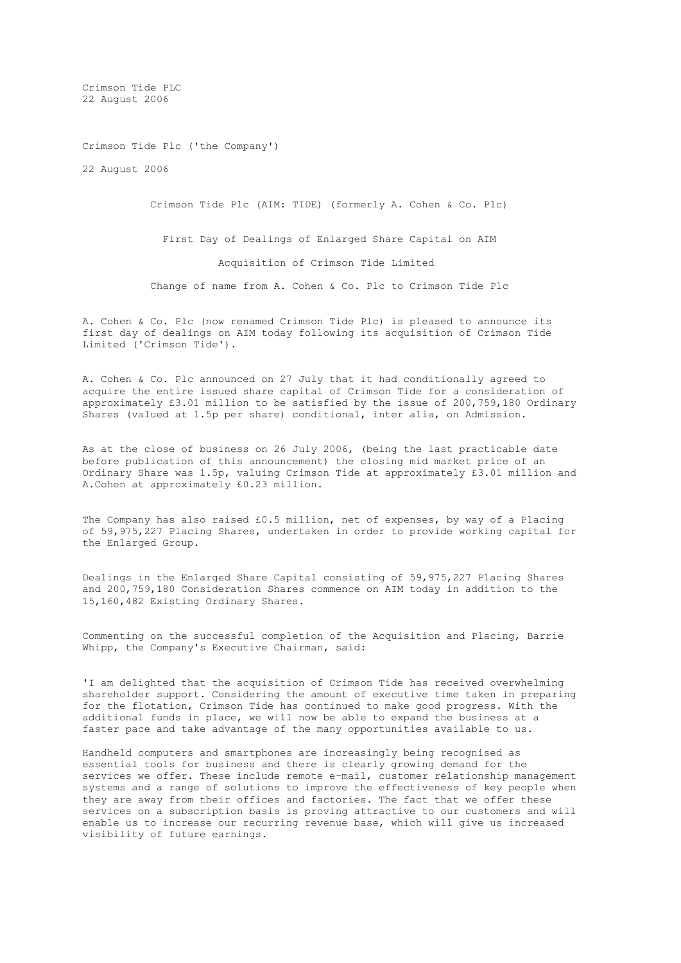Crimson Tide PLC 22 August 2006

Crimson Tide Plc ('the Company')

22 August 2006

Crimson Tide Plc (AIM: TIDE) (formerly A. Cohen & Co. Plc)

 First Day of Dealings of Enlarged Share Capital on AIM Acquisition of Crimson Tide Limited Change of name from A. Cohen & Co. Plc to Crimson Tide Plc

A. Cohen & Co. Plc (now renamed Crimson Tide Plc) is pleased to announce its first day of dealings on AIM today following its acquisition of Crimson Tide Limited ('Crimson Tide').

A. Cohen & Co. Plc announced on 27 July that it had conditionally agreed to acquire the entire issued share capital of Crimson Tide for a consideration of approximately £3.01 million to be satisfied by the issue of 200,759,180 Ordinary Shares (valued at 1.5p per share) conditional, inter alia, on Admission.

As at the close of business on 26 July 2006, (being the last practicable date before publication of this announcement) the closing mid market price of an Ordinary Share was 1.5p, valuing Crimson Tide at approximately £3.01 million and A.Cohen at approximately £0.23 million.

The Company has also raised £0.5 million, net of expenses, by way of a Placing of 59,975,227 Placing Shares, undertaken in order to provide working capital for the Enlarged Group.

Dealings in the Enlarged Share Capital consisting of 59,975,227 Placing Shares and 200,759,180 Consideration Shares commence on AIM today in addition to the 15,160,482 Existing Ordinary Shares.

Commenting on the successful completion of the Acquisition and Placing, Barrie Whipp, the Company's Executive Chairman, said:

'I am delighted that the acquisition of Crimson Tide has received overwhelming shareholder support. Considering the amount of executive time taken in preparing for the flotation, Crimson Tide has continued to make good progress. With the additional funds in place, we will now be able to expand the business at a faster pace and take advantage of the many opportunities available to us.

Handheld computers and smartphones are increasingly being recognised as essential tools for business and there is clearly growing demand for the services we offer. These include remote e-mail, customer relationship management systems and a range of solutions to improve the effectiveness of key people when they are away from their offices and factories. The fact that we offer these services on a subscription basis is proving attractive to our customers and will enable us to increase our recurring revenue base, which will give us increased visibility of future earnings.